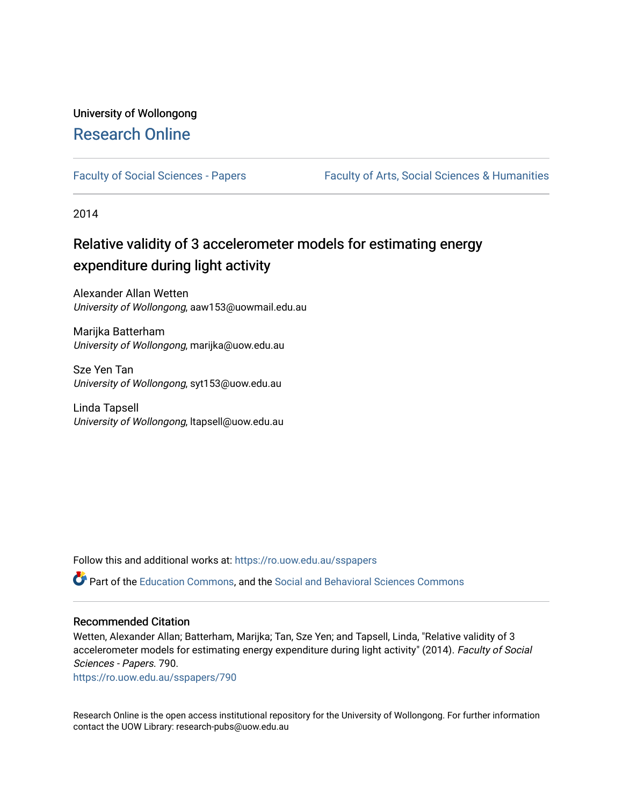## University of Wollongong [Research Online](https://ro.uow.edu.au/)

[Faculty of Social Sciences - Papers](https://ro.uow.edu.au/sspapers) Faculty of Arts, Social Sciences & Humanities

2014

# Relative validity of 3 accelerometer models for estimating energy expenditure during light activity

Alexander Allan Wetten University of Wollongong, aaw153@uowmail.edu.au

Marijka Batterham University of Wollongong, marijka@uow.edu.au

Sze Yen Tan University of Wollongong, syt153@uow.edu.au

Linda Tapsell University of Wollongong, ltapsell@uow.edu.au

Follow this and additional works at: [https://ro.uow.edu.au/sspapers](https://ro.uow.edu.au/sspapers?utm_source=ro.uow.edu.au%2Fsspapers%2F790&utm_medium=PDF&utm_campaign=PDFCoverPages) 

Part of the [Education Commons](http://network.bepress.com/hgg/discipline/784?utm_source=ro.uow.edu.au%2Fsspapers%2F790&utm_medium=PDF&utm_campaign=PDFCoverPages), and the [Social and Behavioral Sciences Commons](http://network.bepress.com/hgg/discipline/316?utm_source=ro.uow.edu.au%2Fsspapers%2F790&utm_medium=PDF&utm_campaign=PDFCoverPages) 

#### Recommended Citation

Wetten, Alexander Allan; Batterham, Marijka; Tan, Sze Yen; and Tapsell, Linda, "Relative validity of 3 accelerometer models for estimating energy expenditure during light activity" (2014). Faculty of Social Sciences - Papers. 790.

[https://ro.uow.edu.au/sspapers/790](https://ro.uow.edu.au/sspapers/790?utm_source=ro.uow.edu.au%2Fsspapers%2F790&utm_medium=PDF&utm_campaign=PDFCoverPages) 

Research Online is the open access institutional repository for the University of Wollongong. For further information contact the UOW Library: research-pubs@uow.edu.au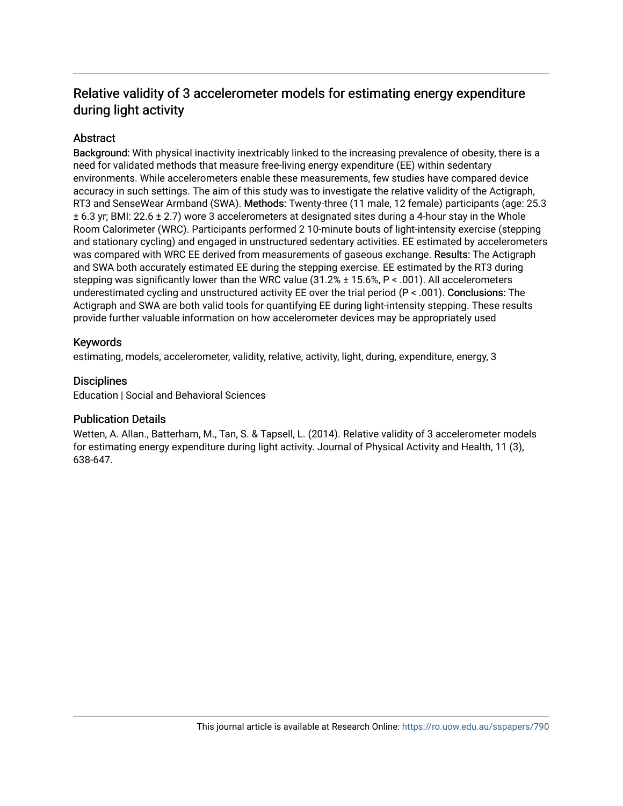## Relative validity of 3 accelerometer models for estimating energy expenditure during light activity

## **Abstract**

Background: With physical inactivity inextricably linked to the increasing prevalence of obesity, there is a need for validated methods that measure free-living energy expenditure (EE) within sedentary environments. While accelerometers enable these measurements, few studies have compared device accuracy in such settings. The aim of this study was to investigate the relative validity of the Actigraph, RT3 and SenseWear Armband (SWA). Methods: Twenty-three (11 male, 12 female) participants (age: 25.3 ± 6.3 yr; BMI: 22.6 ± 2.7) wore 3 accelerometers at designated sites during a 4-hour stay in the Whole Room Calorimeter (WRC). Participants performed 2 10-minute bouts of light-intensity exercise (stepping and stationary cycling) and engaged in unstructured sedentary activities. EE estimated by accelerometers was compared with WRC EE derived from measurements of gaseous exchange. Results: The Actigraph and SWA both accurately estimated EE during the stepping exercise. EE estimated by the RT3 during stepping was significantly lower than the WRC value (31.2% ± 15.6%, P < .001). All accelerometers underestimated cycling and unstructured activity EE over the trial period (P < .001). Conclusions: The Actigraph and SWA are both valid tools for quantifying EE during light-intensity stepping. These results provide further valuable information on how accelerometer devices may be appropriately used

### Keywords

estimating, models, accelerometer, validity, relative, activity, light, during, expenditure, energy, 3

### **Disciplines**

Education | Social and Behavioral Sciences

### Publication Details

Wetten, A. Allan., Batterham, M., Tan, S. & Tapsell, L. (2014). Relative validity of 3 accelerometer models for estimating energy expenditure during light activity. Journal of Physical Activity and Health, 11 (3), 638-647.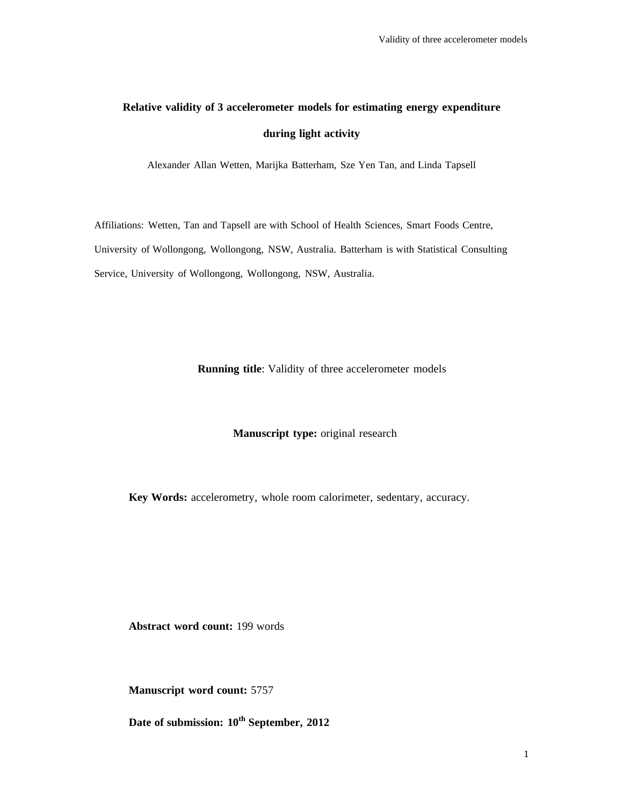# **Relative validity of 3 accelerometer models for estimating energy expenditure during light activity**

Alexander Allan Wetten, Marijka Batterham, Sze Yen Tan, and Linda Tapsell

Affiliations: Wetten, Tan and Tapsell are with School of Health Sciences, Smart Foods Centre, University of Wollongong, Wollongong, NSW, Australia. Batterham is with Statistical Consulting Service, University of Wollongong, Wollongong, NSW, Australia.

**Running title**: Validity of three accelerometer models

#### **Manuscript type:** original research

**Key Words:** accelerometry, whole room calorimeter, sedentary, accuracy.

**Abstract word count:** 199 words

**Manuscript word count:** 5757

Date of submission:  $10^{th}$  September, 2012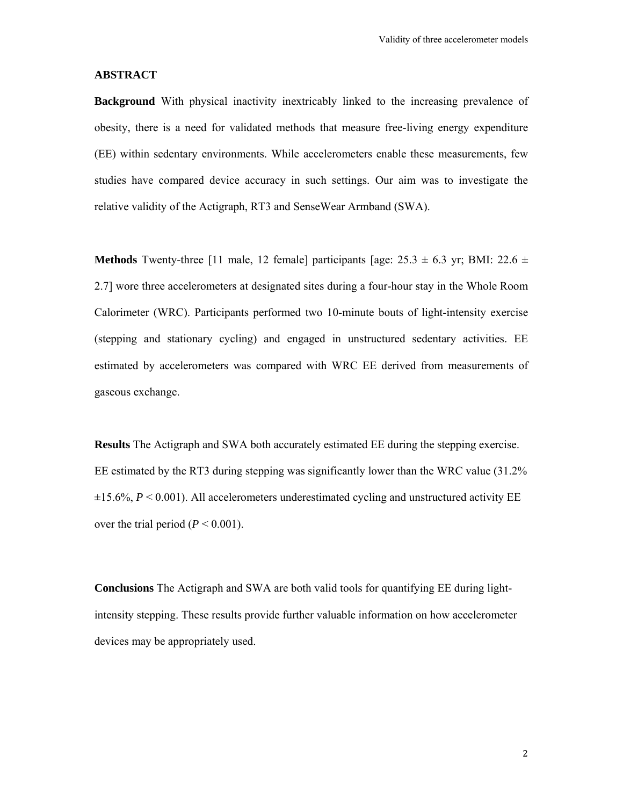#### **ABSTRACT**

**Background** With physical inactivity inextricably linked to the increasing prevalence of obesity, there is a need for validated methods that measure free-living energy expenditure (EE) within sedentary environments. While accelerometers enable these measurements, few studies have compared device accuracy in such settings. Our aim was to investigate the relative validity of the Actigraph, RT3 and SenseWear Armband (SWA).

**Methods** Twenty-three [11 male, 12 female] participants [age:  $25.3 \pm 6.3$  yr; BMI:  $22.6 \pm$ 2.7] wore three accelerometers at designated sites during a four-hour stay in the Whole Room Calorimeter (WRC). Participants performed two 10-minute bouts of light-intensity exercise (stepping and stationary cycling) and engaged in unstructured sedentary activities. EE estimated by accelerometers was compared with WRC EE derived from measurements of gaseous exchange.

**Results** The Actigraph and SWA both accurately estimated EE during the stepping exercise. EE estimated by the RT3 during stepping was significantly lower than the WRC value (31.2%  $\pm 15.6\%$ ,  $P \le 0.001$ ). All accelerometers underestimated cycling and unstructured activity EE over the trial period  $(P < 0.001)$ .

**Conclusions** The Actigraph and SWA are both valid tools for quantifying EE during lightintensity stepping. These results provide further valuable information on how accelerometer devices may be appropriately used.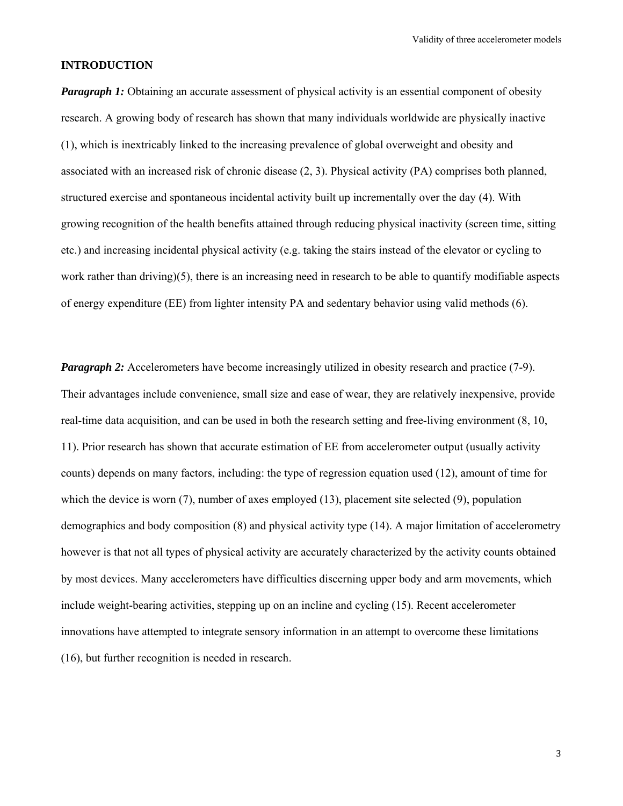#### **INTRODUCTION**

*Paragraph 1:* Obtaining an accurate assessment of physical activity is an essential component of obesity research. A growing body of research has shown that many individuals worldwide are physically inactive (1), which is inextricably linked to the increasing prevalence of global overweight and obesity and associated with an increased risk of chronic disease (2, 3). Physical activity (PA) comprises both planned, structured exercise and spontaneous incidental activity built up incrementally over the day (4). With growing recognition of the health benefits attained through reducing physical inactivity (screen time, sitting etc.) and increasing incidental physical activity (e.g. taking the stairs instead of the elevator or cycling to work rather than driving)(5), there is an increasing need in research to be able to quantify modifiable aspects of energy expenditure (EE) from lighter intensity PA and sedentary behavior using valid methods (6).

*Paragraph 2:* Accelerometers have become increasingly utilized in obesity research and practice (7-9). Their advantages include convenience, small size and ease of wear, they are relatively inexpensive, provide real-time data acquisition, and can be used in both the research setting and free-living environment (8, 10, 11). Prior research has shown that accurate estimation of EE from accelerometer output (usually activity counts) depends on many factors, including: the type of regression equation used (12), amount of time for which the device is worn (7), number of axes employed (13), placement site selected (9), population demographics and body composition (8) and physical activity type (14). A major limitation of accelerometry however is that not all types of physical activity are accurately characterized by the activity counts obtained by most devices. Many accelerometers have difficulties discerning upper body and arm movements, which include weight-bearing activities, stepping up on an incline and cycling (15). Recent accelerometer innovations have attempted to integrate sensory information in an attempt to overcome these limitations (16), but further recognition is needed in research.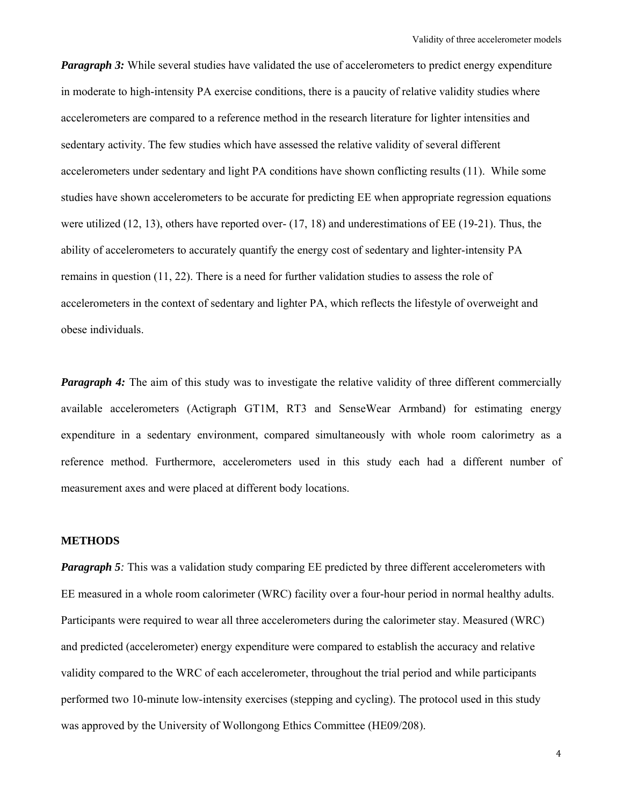*Paragraph 3:* While several studies have validated the use of accelerometers to predict energy expenditure in moderate to high-intensity PA exercise conditions, there is a paucity of relative validity studies where accelerometers are compared to a reference method in the research literature for lighter intensities and sedentary activity. The few studies which have assessed the relative validity of several different accelerometers under sedentary and light PA conditions have shown conflicting results (11). While some studies have shown accelerometers to be accurate for predicting EE when appropriate regression equations were utilized (12, 13), others have reported over- (17, 18) and underestimations of EE (19-21). Thus, the ability of accelerometers to accurately quantify the energy cost of sedentary and lighter-intensity PA remains in question (11, 22). There is a need for further validation studies to assess the role of accelerometers in the context of sedentary and lighter PA, which reflects the lifestyle of overweight and obese individuals.

*Paragraph 4:* The aim of this study was to investigate the relative validity of three different commercially available accelerometers (Actigraph GT1M, RT3 and SenseWear Armband) for estimating energy expenditure in a sedentary environment, compared simultaneously with whole room calorimetry as a reference method. Furthermore, accelerometers used in this study each had a different number of measurement axes and were placed at different body locations.

#### **METHODS**

*Paragraph 5*: This was a validation study comparing EE predicted by three different accelerometers with EE measured in a whole room calorimeter (WRC) facility over a four-hour period in normal healthy adults. Participants were required to wear all three accelerometers during the calorimeter stay. Measured (WRC) and predicted (accelerometer) energy expenditure were compared to establish the accuracy and relative validity compared to the WRC of each accelerometer, throughout the trial period and while participants performed two 10-minute low-intensity exercises (stepping and cycling). The protocol used in this study was approved by the University of Wollongong Ethics Committee (HE09/208).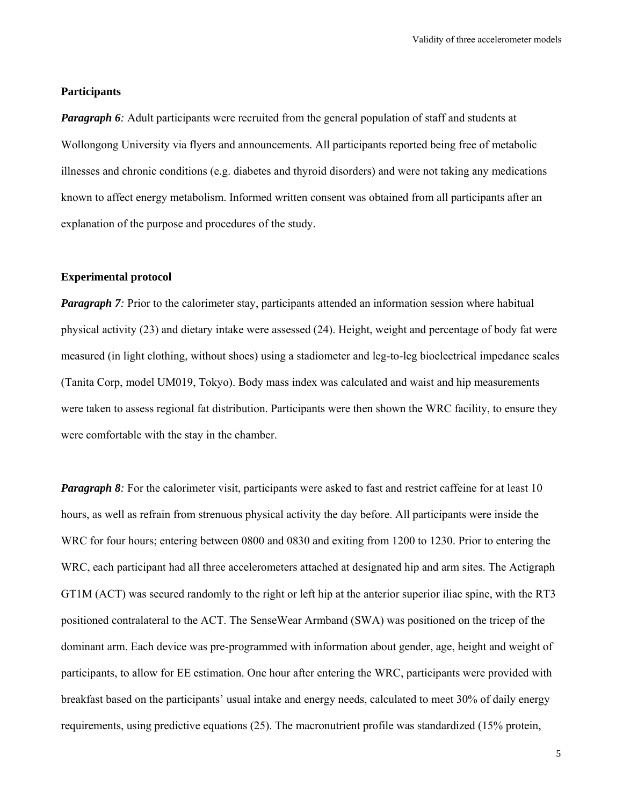#### **Participants**

*Paragraph 6*: Adult participants were recruited from the general population of staff and students at Wollongong University via flyers and announcements. All participants reported being free of metabolic illnesses and chronic conditions (e.g. diabetes and thyroid disorders) and were not taking any medications known to affect energy metabolism. Informed written consent was obtained from all participants after an explanation of the purpose and procedures of the study.

#### **Experimental protocol**

*Paragraph 7*: Prior to the calorimeter stay, participants attended an information session where habitual physical activity (23) and dietary intake were assessed (24). Height, weight and percentage of body fat were measured (in light clothing, without shoes) using a stadiometer and leg-to-leg bioelectrical impedance scales (Tanita Corp, model UM019, Tokyo). Body mass index was calculated and waist and hip measurements were taken to assess regional fat distribution. Participants were then shown the WRC facility, to ensure they were comfortable with the stay in the chamber.

*Paragraph 8:* For the calorimeter visit, participants were asked to fast and restrict caffeine for at least 10 hours, as well as refrain from strenuous physical activity the day before. All participants were inside the WRC for four hours; entering between 0800 and 0830 and exiting from 1200 to 1230. Prior to entering the WRC, each participant had all three accelerometers attached at designated hip and arm sites. The Actigraph GT1M (ACT) was secured randomly to the right or left hip at the anterior superior iliac spine, with the RT3 positioned contralateral to the ACT. The SenseWear Armband (SWA) was positioned on the tricep of the dominant arm. Each device was pre-programmed with information about gender, age, height and weight of participants, to allow for EE estimation. One hour after entering the WRC, participants were provided with breakfast based on the participants' usual intake and energy needs, calculated to meet 30% of daily energy requirements, using predictive equations (25). The macronutrient profile was standardized (15% protein,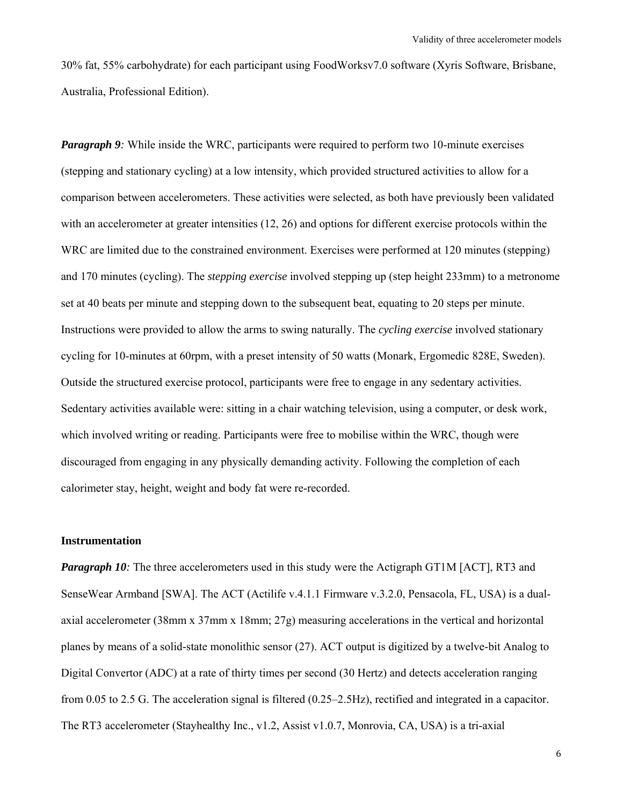30% fat, 55% carbohydrate) for each participant using FoodWorksv7.0 software (Xyris Software, Brisbane, Australia, Professional Edition).

*Paragraph 9*: While inside the WRC, participants were required to perform two 10-minute exercises (stepping and stationary cycling) at a low intensity, which provided structured activities to allow for a comparison between accelerometers. These activities were selected, as both have previously been validated with an accelerometer at greater intensities (12, 26) and options for different exercise protocols within the WRC are limited due to the constrained environment. Exercises were performed at 120 minutes (stepping) and 170 minutes (cycling). The *stepping exercise* involved stepping up (step height 233mm) to a metronome set at 40 beats per minute and stepping down to the subsequent beat, equating to 20 steps per minute. Instructions were provided to allow the arms to swing naturally. The *cycling exercise* involved stationary cycling for 10-minutes at 60rpm, with a preset intensity of 50 watts (Monark, Ergomedic 828E, Sweden). Outside the structured exercise protocol, participants were free to engage in any sedentary activities. Sedentary activities available were: sitting in a chair watching television, using a computer, or desk work, which involved writing or reading. Participants were free to mobilise within the WRC, though were discouraged from engaging in any physically demanding activity. Following the completion of each calorimeter stay, height, weight and body fat were re-recorded.

#### **Instrumentation**

*Paragraph 10*: The three accelerometers used in this study were the Actigraph GT1M [ACT], RT3 and SenseWear Armband [SWA]. The ACT (Actilife v.4.1.1 Firmware v.3.2.0, Pensacola, FL, USA) is a dualaxial accelerometer (38mm x 37mm x 18mm; 27g) measuring accelerations in the vertical and horizontal planes by means of a solid-state monolithic sensor (27). ACT output is digitized by a twelve-bit Analog to Digital Convertor (ADC) at a rate of thirty times per second (30 Hertz) and detects acceleration ranging from 0.05 to 2.5 G. The acceleration signal is filtered (0.25–2.5Hz), rectified and integrated in a capacitor. The RT3 accelerometer (Stayhealthy Inc., v1.2, Assist v1.0.7, Monrovia, CA, USA) is a tri-axial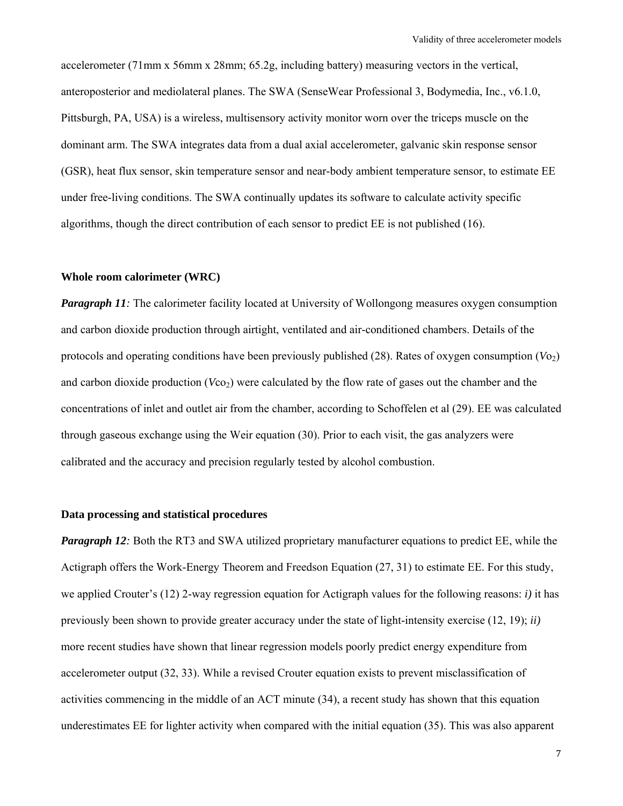accelerometer (71mm x 56mm x 28mm; 65.2g, including battery) measuring vectors in the vertical, anteroposterior and mediolateral planes. The SWA (SenseWear Professional 3, Bodymedia, Inc., v6.1.0, Pittsburgh, PA, USA) is a wireless, multisensory activity monitor worn over the triceps muscle on the dominant arm. The SWA integrates data from a dual axial accelerometer, galvanic skin response sensor (GSR), heat flux sensor, skin temperature sensor and near-body ambient temperature sensor, to estimate EE under free-living conditions. The SWA continually updates its software to calculate activity specific algorithms, though the direct contribution of each sensor to predict EE is not published (16).

#### **Whole room calorimeter (WRC)**

*Paragraph 11:* The calorimeter facility located at University of Wollongong measures oxygen consumption and carbon dioxide production through airtight, ventilated and air-conditioned chambers. Details of the protocols and operating conditions have been previously published  $(28)$ . Rates of oxygen consumption  $(Vo<sub>2</sub>)$ and carbon dioxide production (*V*co<sub>2</sub>) were calculated by the flow rate of gases out the chamber and the concentrations of inlet and outlet air from the chamber, according to Schoffelen et al (29). EE was calculated through gaseous exchange using the Weir equation (30). Prior to each visit, the gas analyzers were calibrated and the accuracy and precision regularly tested by alcohol combustion.

#### **Data processing and statistical procedures**

*Paragraph 12*: Both the RT3 and SWA utilized proprietary manufacturer equations to predict EE, while the Actigraph offers the Work-Energy Theorem and Freedson Equation (27, 31) to estimate EE. For this study, we applied Crouter's (12) 2-way regression equation for Actigraph values for the following reasons: *i)* it has previously been shown to provide greater accuracy under the state of light-intensity exercise (12, 19); *ii)* more recent studies have shown that linear regression models poorly predict energy expenditure from accelerometer output (32, 33). While a revised Crouter equation exists to prevent misclassification of activities commencing in the middle of an ACT minute (34), a recent study has shown that this equation underestimates EE for lighter activity when compared with the initial equation (35). This was also apparent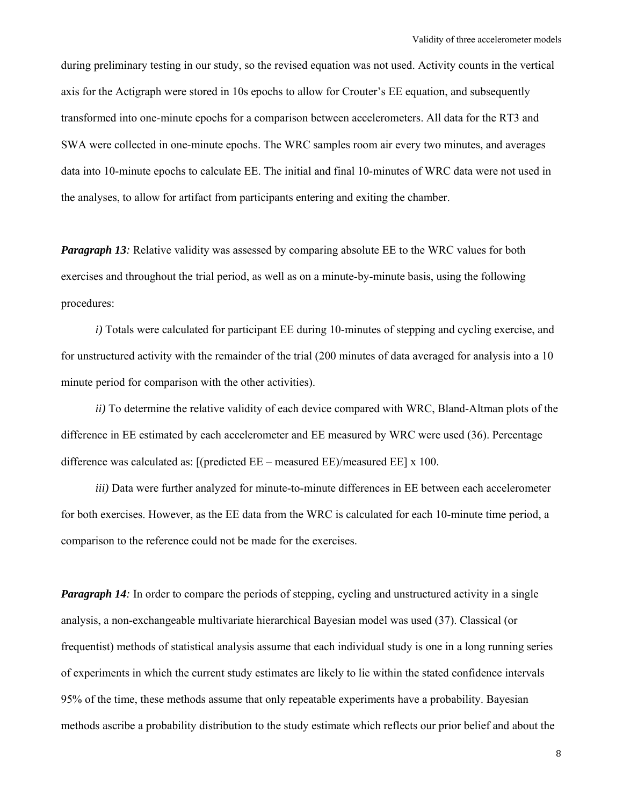during preliminary testing in our study, so the revised equation was not used. Activity counts in the vertical axis for the Actigraph were stored in 10s epochs to allow for Crouter's EE equation, and subsequently transformed into one-minute epochs for a comparison between accelerometers. All data for the RT3 and SWA were collected in one-minute epochs. The WRC samples room air every two minutes, and averages data into 10-minute epochs to calculate EE. The initial and final 10-minutes of WRC data were not used in the analyses, to allow for artifact from participants entering and exiting the chamber.

*Paragraph 13*: Relative validity was assessed by comparing absolute EE to the WRC values for both exercises and throughout the trial period, as well as on a minute-by-minute basis, using the following procedures:

*i)* Totals were calculated for participant EE during 10-minutes of stepping and cycling exercise, and for unstructured activity with the remainder of the trial (200 minutes of data averaged for analysis into a 10 minute period for comparison with the other activities).

*ii)* To determine the relative validity of each device compared with WRC, Bland-Altman plots of the difference in EE estimated by each accelerometer and EE measured by WRC were used (36). Percentage difference was calculated as:  $[(predicted EE - measured EE)/measured EE] x 100]$ .

*iii)* Data were further analyzed for minute-to-minute differences in EE between each accelerometer for both exercises. However, as the EE data from the WRC is calculated for each 10-minute time period, a comparison to the reference could not be made for the exercises.

*Paragraph 14:* In order to compare the periods of stepping, cycling and unstructured activity in a single analysis, a non-exchangeable multivariate hierarchical Bayesian model was used (37). Classical (or frequentist) methods of statistical analysis assume that each individual study is one in a long running series of experiments in which the current study estimates are likely to lie within the stated confidence intervals 95% of the time, these methods assume that only repeatable experiments have a probability. Bayesian methods ascribe a probability distribution to the study estimate which reflects our prior belief and about the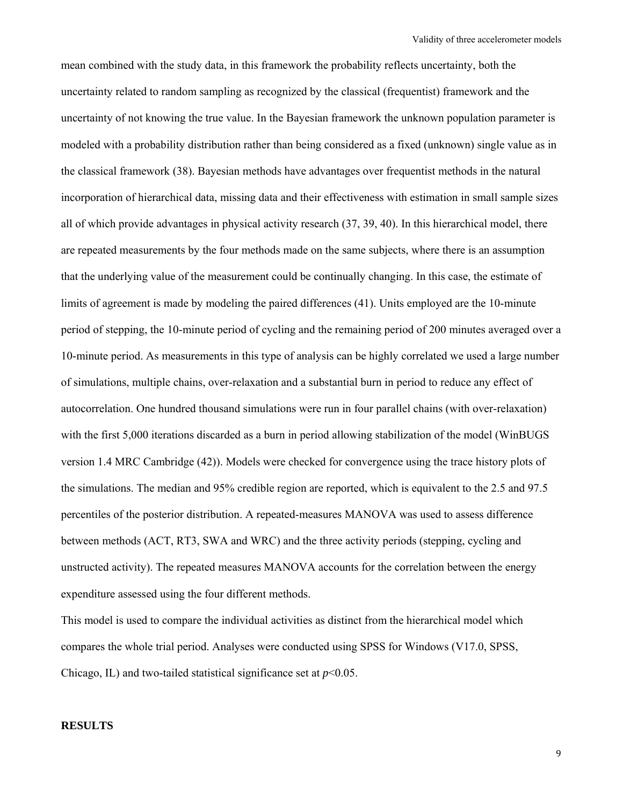mean combined with the study data, in this framework the probability reflects uncertainty, both the uncertainty related to random sampling as recognized by the classical (frequentist) framework and the uncertainty of not knowing the true value. In the Bayesian framework the unknown population parameter is modeled with a probability distribution rather than being considered as a fixed (unknown) single value as in the classical framework (38). Bayesian methods have advantages over frequentist methods in the natural incorporation of hierarchical data, missing data and their effectiveness with estimation in small sample sizes all of which provide advantages in physical activity research (37, 39, 40). In this hierarchical model, there are repeated measurements by the four methods made on the same subjects, where there is an assumption that the underlying value of the measurement could be continually changing. In this case, the estimate of limits of agreement is made by modeling the paired differences (41). Units employed are the 10-minute period of stepping, the 10-minute period of cycling and the remaining period of 200 minutes averaged over a 10-minute period. As measurements in this type of analysis can be highly correlated we used a large number of simulations, multiple chains, over-relaxation and a substantial burn in period to reduce any effect of autocorrelation. One hundred thousand simulations were run in four parallel chains (with over-relaxation) with the first 5,000 iterations discarded as a burn in period allowing stabilization of the model (WinBUGS) version 1.4 MRC Cambridge (42)). Models were checked for convergence using the trace history plots of the simulations. The median and 95% credible region are reported, which is equivalent to the 2.5 and 97.5 percentiles of the posterior distribution. A repeated-measures MANOVA was used to assess difference between methods (ACT, RT3, SWA and WRC) and the three activity periods (stepping, cycling and unstructed activity). The repeated measures MANOVA accounts for the correlation between the energy expenditure assessed using the four different methods.

This model is used to compare the individual activities as distinct from the hierarchical model which compares the whole trial period. Analyses were conducted using SPSS for Windows (V17.0, SPSS, Chicago, IL) and two-tailed statistical significance set at  $p<0.05$ .

#### **RESULTS**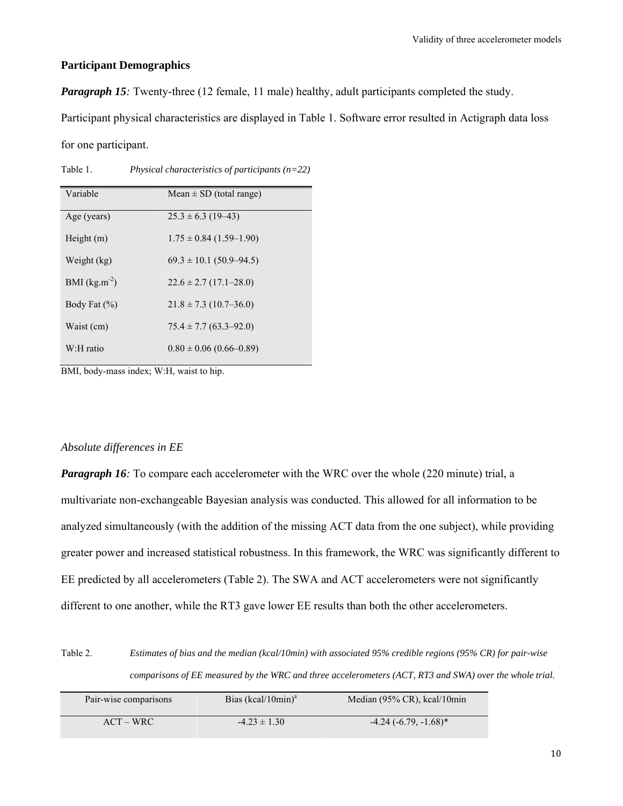#### **Participant Demographics**

*Paragraph 15*: Twenty-three (12 female, 11 male) healthy, adult participants completed the study.

Participant physical characteristics are displayed in Table 1. Software error resulted in Actigraph data loss

for one participant.

| Variable          | Mean $\pm$ SD (total range)   |
|-------------------|-------------------------------|
|                   |                               |
| Age (years)       | $25.3 \pm 6.3$ (19-43)        |
|                   |                               |
| Height (m)        | $1.75 \pm 0.84$ (1.59–1.90)   |
|                   |                               |
| Weight (kg)       | $69.3 \pm 10.1 (50.9 - 94.5)$ |
|                   |                               |
| BMI $(kg.m^{-2})$ | $22.6 \pm 2.7$ (17.1–28.0)    |
|                   |                               |
| Body Fat $(\% )$  | $21.8 \pm 7.3$ (10.7–36.0)    |
|                   |                               |
| Waist (cm)        | $75.4 \pm 7.7$ (63.3–92.0)    |
|                   |                               |
| W:H ratio         | $0.80 \pm 0.06$ (0.66–0.89)   |
|                   |                               |

Table 1. *Physical characteristics of participants (n=22)*

BMI, body-mass index; W:H, waist to hip.

#### *Absolute differences in EE*

*Paragraph 16*: To compare each accelerometer with the WRC over the whole (220 minute) trial, a multivariate non-exchangeable Bayesian analysis was conducted. This allowed for all information to be analyzed simultaneously (with the addition of the missing ACT data from the one subject), while providing greater power and increased statistical robustness. In this framework, the WRC was significantly different to EE predicted by all accelerometers (Table 2). The SWA and ACT accelerometers were not significantly different to one another, while the RT3 gave lower EE results than both the other accelerometers.

Table 2. *Estimates of bias and the median (kcal/10min) with associated 95% credible regions (95% CR) for pair-wise comparisons of EE measured by the WRC and three accelerometers (ACT, RT3 and SWA) over the whole trial.* 

| Pair-wise comparisons | Bias $(kcal/10min)^a$ | Median $(95\% \text{ CR})$ , kcal/10min |
|-----------------------|-----------------------|-----------------------------------------|
| $ACT-WRC$             | $-4.23 \pm 1.30$      | $-4.24(-6.79,-1.68)$ *                  |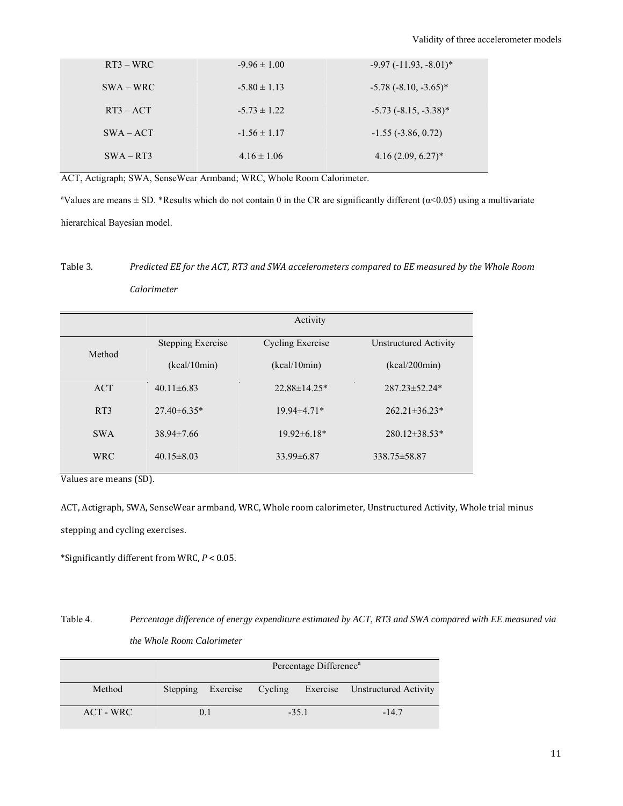| $RT3 - WRC$ | $-9.96 \pm 1.00$ | $-9.97 (-11.93, -8.01)^*$  |
|-------------|------------------|----------------------------|
| $SWA-WRC$   | $-5.80 \pm 1.13$ | $-5.78$ $(-8.10, -3.65)^*$ |
| $RT3 - ACT$ | $-5.73 \pm 1.22$ | $-5.73$ $(-8.15, -3.38)^*$ |
| $SWA - ACT$ | $-1.56 \pm 1.17$ | $-1.55$ ( $-3.86$ , 0.72)  |
| $SWA - RT3$ | $4.16 \pm 1.06$  | $4.16(2.09, 6.27)^*$       |

ACT, Actigraph; SWA, SenseWear Armband; WRC, Whole Room Calorimeter.

<sup>a</sup>Values are means  $\pm$  SD. \*Results which do not contain 0 in the CR are significantly different ( $\alpha$ <0.05) using a multivariate hierarchical Bayesian model.

## Table 3. *Predicted EE for the ACT, RT3 and SWA accelerometers compared to EE measured by the Whole Room Calorimeter*

|                 | Activity                 |                         |                       |  |
|-----------------|--------------------------|-------------------------|-----------------------|--|
| Method          | <b>Stepping Exercise</b> | <b>Cycling Exercise</b> | Unstructured Activity |  |
|                 | (kcal/10min)             | (kcal/10min)            | (kcal/200min)         |  |
| <b>ACT</b>      | $40.11 \pm 6.83$         | $22.88 \pm 14.25*$      | $287.23 \pm 52.24*$   |  |
| RT <sub>3</sub> | $27.40\pm 6.35*$         | 19.94±4.71*             | $262.21 \pm 36.23*$   |  |
| <b>SWA</b>      | $38.94 \pm 7.66$         | $19.92\pm 6.18*$        | $280.12 \pm 38.53*$   |  |
| <b>WRC</b>      | $40.15 \pm 8.03$         | $33.99\pm 6.87$         | 338.75 ± 58.87        |  |

Values are means (SD).

ACT, Actigraph, SWA, SenseWear armband, WRC, Whole room calorimeter, Unstructured Activity, Whole trial minus

stepping and cycling exercises.

\*Significantly different from WRC,  $P < 0.05$ .

Table 4. *Percentage difference of energy expenditure estimated by ACT, RT3 and SWA compared with EE measured via the Whole Room Calorimeter*

|             | Percentage Difference <sup>a</sup> |          |         |         |                                |
|-------------|------------------------------------|----------|---------|---------|--------------------------------|
| Method      | Stepping                           | Exercise | Cycling |         | Exercise Unstructured Activity |
| $ACT - WRC$ |                                    | 0.1      |         | $-35.1$ | $-147$                         |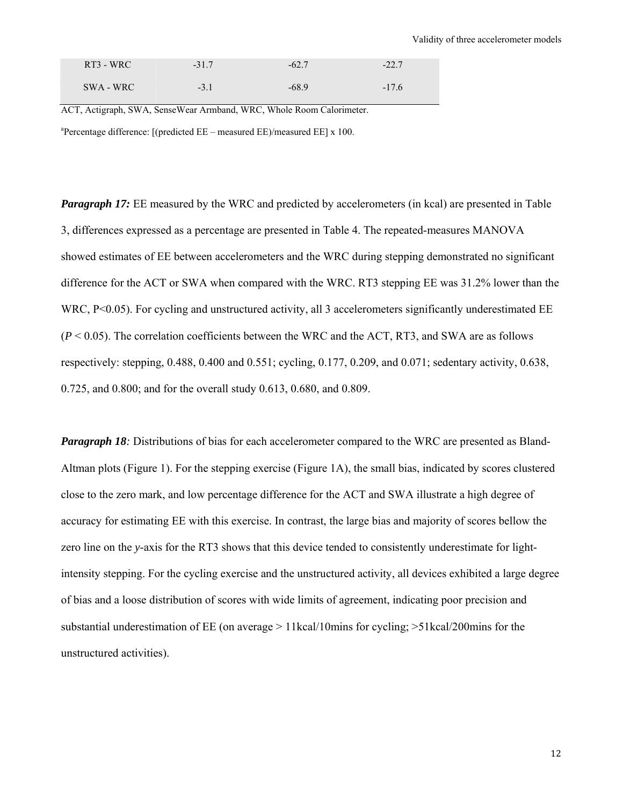| RT3 - WRC | $-31.7$ | $-62.7$ | $-22.7$ |
|-----------|---------|---------|---------|
| SWA - WRC | $-3.1$  | $-68.9$ | $-17.6$ |

ACT, Actigraph, SWA, SenseWear Armband, WRC, Whole Room Calorimeter. <sup>a</sup>Percentage difference: [(predicted  $EE$  – measured  $EE$ )/measured  $EE$ ] x 100.

*Paragraph 17:* EE measured by the WRC and predicted by accelerometers (in kcal) are presented in Table 3, differences expressed as a percentage are presented in Table 4. The repeated-measures MANOVA showed estimates of EE between accelerometers and the WRC during stepping demonstrated no significant difference for the ACT or SWA when compared with the WRC. RT3 stepping EE was 31.2% lower than the WRC, P<0.05). For cycling and unstructured activity, all 3 accelerometers significantly underestimated EE  $(P < 0.05)$ . The correlation coefficients between the WRC and the ACT, RT3, and SWA are as follows respectively: stepping, 0.488, 0.400 and 0.551; cycling, 0.177, 0.209, and 0.071; sedentary activity, 0.638, 0.725, and 0.800; and for the overall study 0.613, 0.680, and 0.809.

*Paragraph 18*: Distributions of bias for each accelerometer compared to the WRC are presented as Bland-Altman plots (Figure 1). For the stepping exercise (Figure 1A), the small bias, indicated by scores clustered close to the zero mark, and low percentage difference for the ACT and SWA illustrate a high degree of accuracy for estimating EE with this exercise. In contrast, the large bias and majority of scores bellow the zero line on the *y*-axis for the RT3 shows that this device tended to consistently underestimate for lightintensity stepping. For the cycling exercise and the unstructured activity, all devices exhibited a large degree of bias and a loose distribution of scores with wide limits of agreement, indicating poor precision and substantial underestimation of EE (on average > 11kcal/10mins for cycling; >51kcal/200mins for the unstructured activities).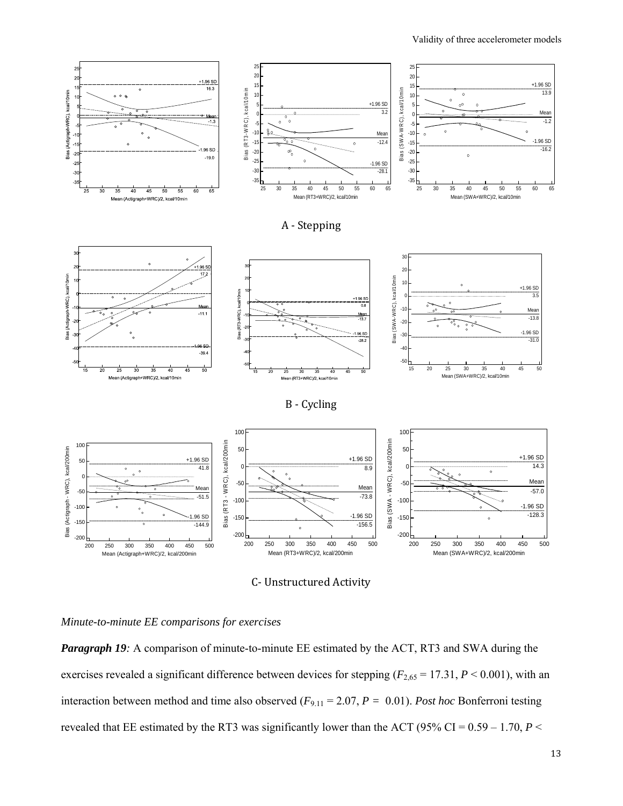Validity of three accelerometer models



C‐ Unstructured Activity 

#### *Minute-to-minute EE comparisons for exercises*

**Paragraph 19**: A comparison of minute-to-minute EE estimated by the ACT, RT3 and SWA during the exercises revealed a significant difference between devices for stepping  $(F_{2,65} = 17.31, P \le 0.001)$ , with an interaction between method and time also observed (*F*9.11 = 2.07, *P =* 0.01). *Post hoc* Bonferroni testing revealed that EE estimated by the RT3 was significantly lower than the ACT (95% CI =  $0.59 - 1.70$ , *P* <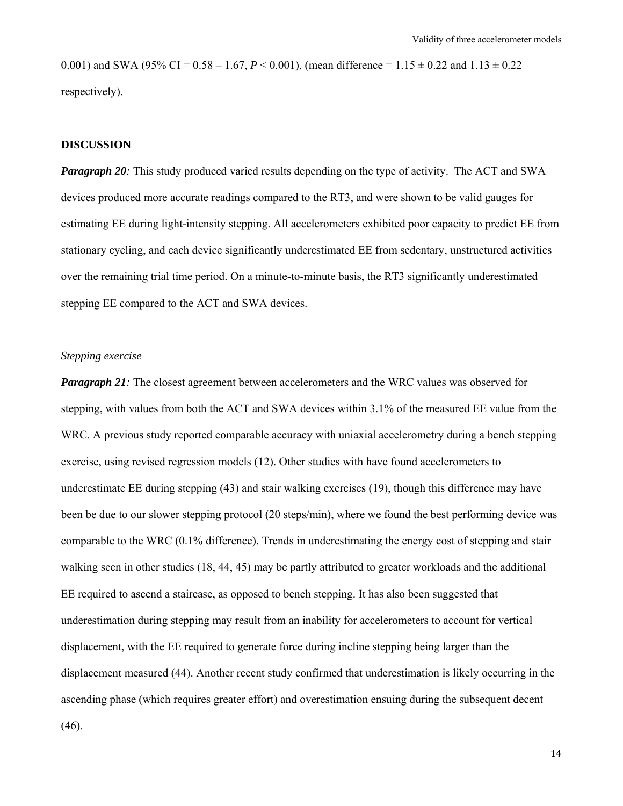0.001) and SWA (95% CI = 0.58 – 1.67,  $P < 0.001$ ), (mean difference = 1.15  $\pm$  0.22 and 1.13  $\pm$  0.22 respectively).

#### **DISCUSSION**

*Paragraph 20*: This study produced varied results depending on the type of activity. The ACT and SWA devices produced more accurate readings compared to the RT3, and were shown to be valid gauges for estimating EE during light-intensity stepping. All accelerometers exhibited poor capacity to predict EE from stationary cycling, and each device significantly underestimated EE from sedentary, unstructured activities over the remaining trial time period. On a minute-to-minute basis, the RT3 significantly underestimated stepping EE compared to the ACT and SWA devices.

#### *Stepping exercise*

*Paragraph 21*: The closest agreement between accelerometers and the WRC values was observed for stepping, with values from both the ACT and SWA devices within 3.1% of the measured EE value from the WRC. A previous study reported comparable accuracy with uniaxial accelerometry during a bench stepping exercise, using revised regression models (12). Other studies with have found accelerometers to underestimate EE during stepping (43) and stair walking exercises (19), though this difference may have been be due to our slower stepping protocol (20 steps/min), where we found the best performing device was comparable to the WRC (0.1% difference). Trends in underestimating the energy cost of stepping and stair walking seen in other studies (18, 44, 45) may be partly attributed to greater workloads and the additional EE required to ascend a staircase, as opposed to bench stepping. It has also been suggested that underestimation during stepping may result from an inability for accelerometers to account for vertical displacement, with the EE required to generate force during incline stepping being larger than the displacement measured (44). Another recent study confirmed that underestimation is likely occurring in the ascending phase (which requires greater effort) and overestimation ensuing during the subsequent decent (46).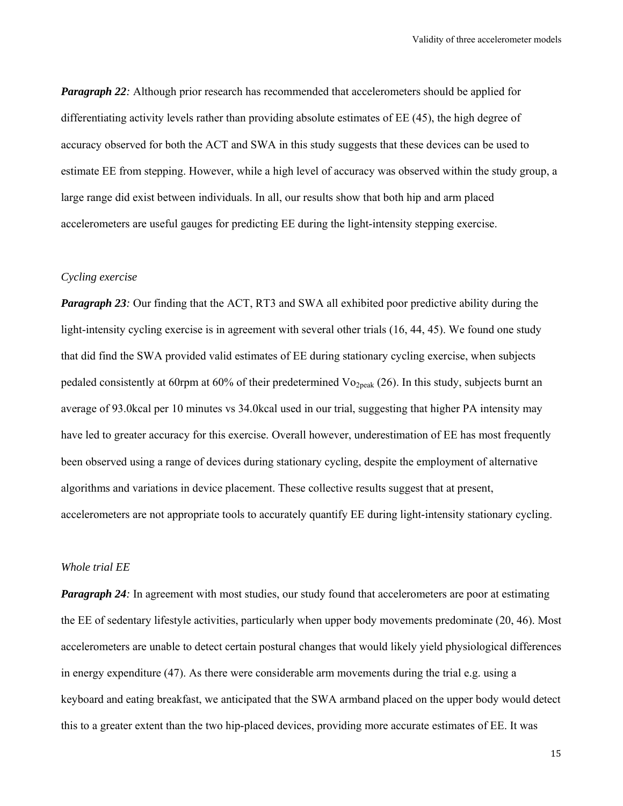*Paragraph 22*: Although prior research has recommended that accelerometers should be applied for differentiating activity levels rather than providing absolute estimates of EE (45), the high degree of accuracy observed for both the ACT and SWA in this study suggests that these devices can be used to estimate EE from stepping. However, while a high level of accuracy was observed within the study group, a large range did exist between individuals. In all, our results show that both hip and arm placed accelerometers are useful gauges for predicting EE during the light-intensity stepping exercise.

#### *Cycling exercise*

*Paragraph 23:* Our finding that the ACT, RT3 and SWA all exhibited poor predictive ability during the light-intensity cycling exercise is in agreement with several other trials (16, 44, 45). We found one study that did find the SWA provided valid estimates of EE during stationary cycling exercise, when subjects pedaled consistently at 60rpm at 60% of their predetermined  $V_{O_2,peak}$  (26). In this study, subjects burnt an average of 93.0kcal per 10 minutes vs 34.0kcal used in our trial, suggesting that higher PA intensity may have led to greater accuracy for this exercise. Overall however, underestimation of EE has most frequently been observed using a range of devices during stationary cycling, despite the employment of alternative algorithms and variations in device placement. These collective results suggest that at present, accelerometers are not appropriate tools to accurately quantify EE during light-intensity stationary cycling.

#### *Whole trial EE*

*Paragraph 24*: In agreement with most studies, our study found that accelerometers are poor at estimating the EE of sedentary lifestyle activities, particularly when upper body movements predominate (20, 46). Most accelerometers are unable to detect certain postural changes that would likely yield physiological differences in energy expenditure (47). As there were considerable arm movements during the trial e.g. using a keyboard and eating breakfast, we anticipated that the SWA armband placed on the upper body would detect this to a greater extent than the two hip-placed devices, providing more accurate estimates of EE. It was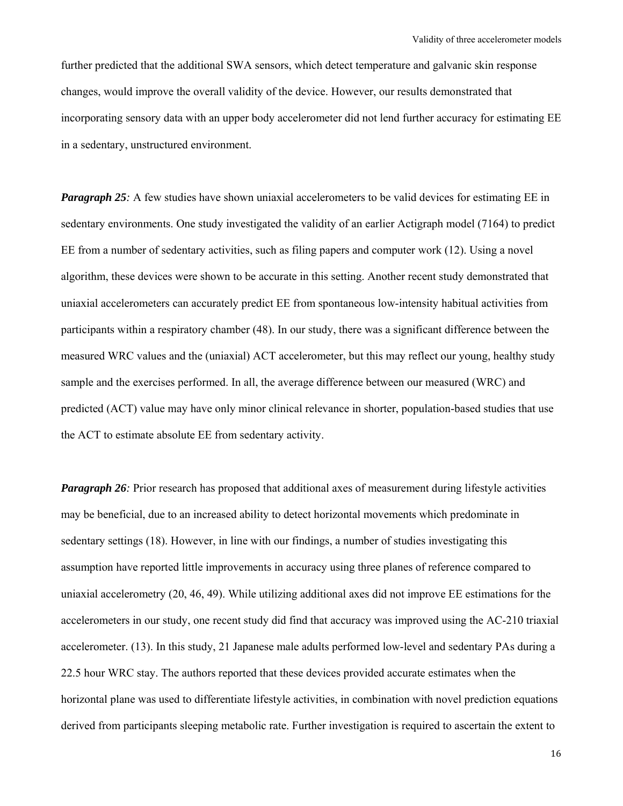further predicted that the additional SWA sensors, which detect temperature and galvanic skin response changes, would improve the overall validity of the device. However, our results demonstrated that incorporating sensory data with an upper body accelerometer did not lend further accuracy for estimating EE in a sedentary, unstructured environment.

*Paragraph 25:* A few studies have shown uniaxial accelerometers to be valid devices for estimating EE in sedentary environments. One study investigated the validity of an earlier Actigraph model (7164) to predict EE from a number of sedentary activities, such as filing papers and computer work (12). Using a novel algorithm, these devices were shown to be accurate in this setting. Another recent study demonstrated that uniaxial accelerometers can accurately predict EE from spontaneous low-intensity habitual activities from participants within a respiratory chamber (48). In our study, there was a significant difference between the measured WRC values and the (uniaxial) ACT accelerometer, but this may reflect our young, healthy study sample and the exercises performed. In all, the average difference between our measured (WRC) and predicted (ACT) value may have only minor clinical relevance in shorter, population-based studies that use the ACT to estimate absolute EE from sedentary activity.

*Paragraph 26*: Prior research has proposed that additional axes of measurement during lifestyle activities may be beneficial, due to an increased ability to detect horizontal movements which predominate in sedentary settings (18). However, in line with our findings, a number of studies investigating this assumption have reported little improvements in accuracy using three planes of reference compared to uniaxial accelerometry (20, 46, 49). While utilizing additional axes did not improve EE estimations for the accelerometers in our study, one recent study did find that accuracy was improved using the AC-210 triaxial accelerometer. (13). In this study, 21 Japanese male adults performed low-level and sedentary PAs during a 22.5 hour WRC stay. The authors reported that these devices provided accurate estimates when the horizontal plane was used to differentiate lifestyle activities, in combination with novel prediction equations derived from participants sleeping metabolic rate. Further investigation is required to ascertain the extent to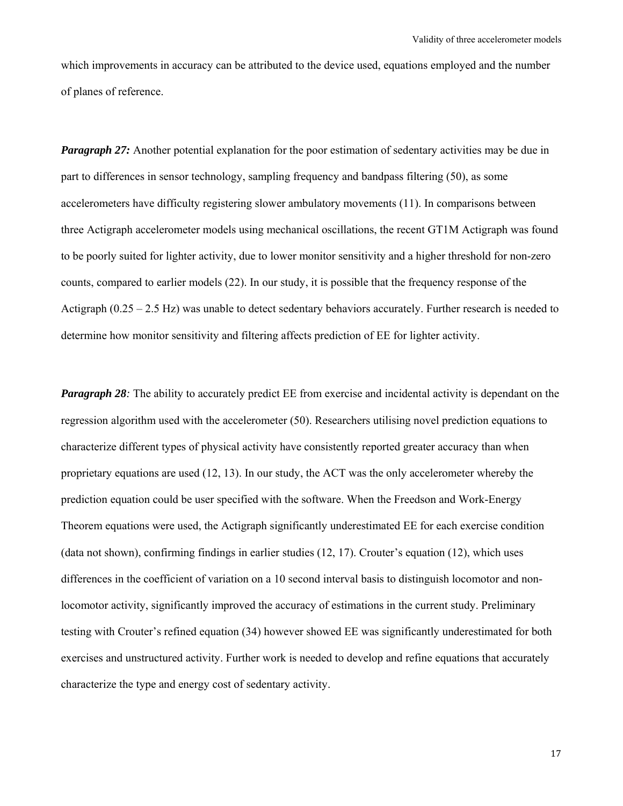which improvements in accuracy can be attributed to the device used, equations employed and the number of planes of reference.

*Paragraph 27:* Another potential explanation for the poor estimation of sedentary activities may be due in part to differences in sensor technology, sampling frequency and bandpass filtering (50), as some accelerometers have difficulty registering slower ambulatory movements (11). In comparisons between three Actigraph accelerometer models using mechanical oscillations, the recent GT1M Actigraph was found to be poorly suited for lighter activity, due to lower monitor sensitivity and a higher threshold for non-zero counts, compared to earlier models (22). In our study, it is possible that the frequency response of the Actigraph  $(0.25 - 2.5 \text{ Hz})$  was unable to detect sedentary behaviors accurately. Further research is needed to determine how monitor sensitivity and filtering affects prediction of EE for lighter activity.

*Paragraph 28:* The ability to accurately predict EE from exercise and incidental activity is dependant on the regression algorithm used with the accelerometer (50). Researchers utilising novel prediction equations to characterize different types of physical activity have consistently reported greater accuracy than when proprietary equations are used (12, 13). In our study, the ACT was the only accelerometer whereby the prediction equation could be user specified with the software. When the Freedson and Work-Energy Theorem equations were used, the Actigraph significantly underestimated EE for each exercise condition (data not shown), confirming findings in earlier studies (12, 17). Crouter's equation (12), which uses differences in the coefficient of variation on a 10 second interval basis to distinguish locomotor and nonlocomotor activity, significantly improved the accuracy of estimations in the current study. Preliminary testing with Crouter's refined equation (34) however showed EE was significantly underestimated for both exercises and unstructured activity. Further work is needed to develop and refine equations that accurately characterize the type and energy cost of sedentary activity.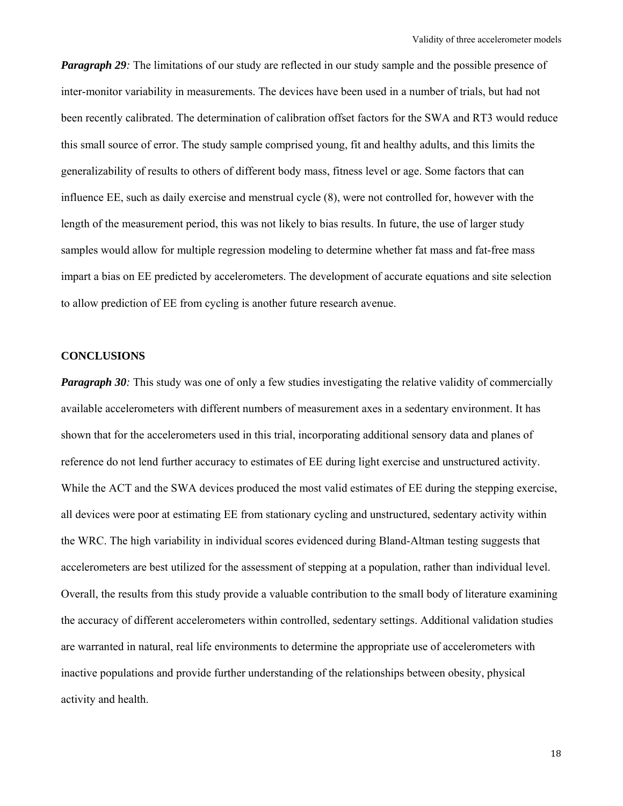*Paragraph 29*: The limitations of our study are reflected in our study sample and the possible presence of inter-monitor variability in measurements. The devices have been used in a number of trials, but had not been recently calibrated. The determination of calibration offset factors for the SWA and RT3 would reduce this small source of error. The study sample comprised young, fit and healthy adults, and this limits the generalizability of results to others of different body mass, fitness level or age. Some factors that can influence EE, such as daily exercise and menstrual cycle (8), were not controlled for, however with the length of the measurement period, this was not likely to bias results. In future, the use of larger study samples would allow for multiple regression modeling to determine whether fat mass and fat-free mass impart a bias on EE predicted by accelerometers. The development of accurate equations and site selection to allow prediction of EE from cycling is another future research avenue.

#### **CONCLUSIONS**

*Paragraph 30:* This study was one of only a few studies investigating the relative validity of commercially available accelerometers with different numbers of measurement axes in a sedentary environment. It has shown that for the accelerometers used in this trial, incorporating additional sensory data and planes of reference do not lend further accuracy to estimates of EE during light exercise and unstructured activity. While the ACT and the SWA devices produced the most valid estimates of EE during the stepping exercise, all devices were poor at estimating EE from stationary cycling and unstructured, sedentary activity within the WRC. The high variability in individual scores evidenced during Bland-Altman testing suggests that accelerometers are best utilized for the assessment of stepping at a population, rather than individual level. Overall, the results from this study provide a valuable contribution to the small body of literature examining the accuracy of different accelerometers within controlled, sedentary settings. Additional validation studies are warranted in natural, real life environments to determine the appropriate use of accelerometers with inactive populations and provide further understanding of the relationships between obesity, physical activity and health.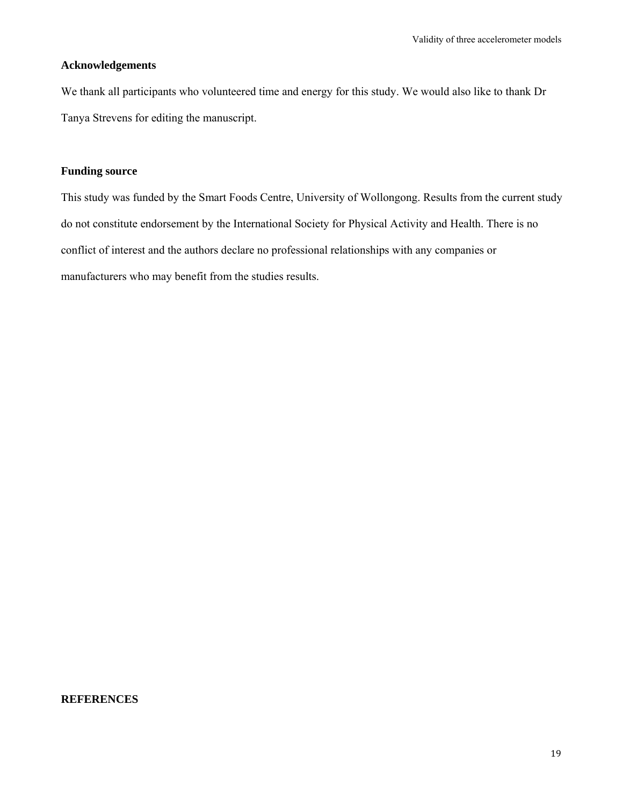#### **Acknowledgements**

We thank all participants who volunteered time and energy for this study. We would also like to thank Dr Tanya Strevens for editing the manuscript.

#### **Funding source**

This study was funded by the Smart Foods Centre, University of Wollongong. Results from the current study do not constitute endorsement by the International Society for Physical Activity and Health. There is no conflict of interest and the authors declare no professional relationships with any companies or manufacturers who may benefit from the studies results.

#### **REFERENCES**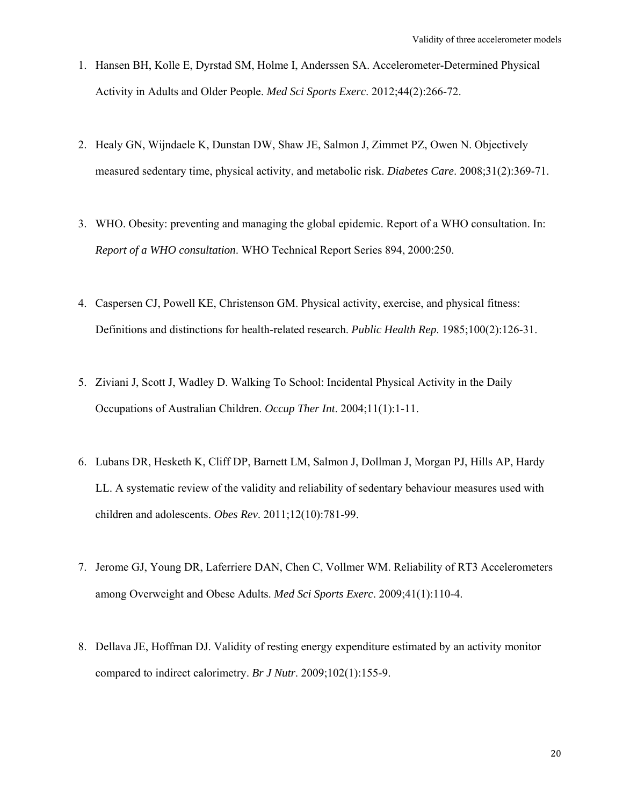- 1. Hansen BH, Kolle E, Dyrstad SM, Holme I, Anderssen SA. Accelerometer-Determined Physical Activity in Adults and Older People. *Med Sci Sports Exerc*. 2012;44(2):266-72.
- 2. Healy GN, Wijndaele K, Dunstan DW, Shaw JE, Salmon J, Zimmet PZ, Owen N. Objectively measured sedentary time, physical activity, and metabolic risk. *Diabetes Care*. 2008;31(2):369-71.
- 3. WHO. Obesity: preventing and managing the global epidemic. Report of a WHO consultation. In: *Report of a WHO consultation*. WHO Technical Report Series 894, 2000:250.
- 4. Caspersen CJ, Powell KE, Christenson GM. Physical activity, exercise, and physical fitness: Definitions and distinctions for health-related research. *Public Health Rep*. 1985;100(2):126-31.
- 5. Ziviani J, Scott J, Wadley D. Walking To School: Incidental Physical Activity in the Daily Occupations of Australian Children. *Occup Ther Int*. 2004;11(1):1-11.
- 6. Lubans DR, Hesketh K, Cliff DP, Barnett LM, Salmon J, Dollman J, Morgan PJ, Hills AP, Hardy LL. A systematic review of the validity and reliability of sedentary behaviour measures used with children and adolescents. *Obes Rev*. 2011;12(10):781-99.
- 7. Jerome GJ, Young DR, Laferriere DAN, Chen C, Vollmer WM. Reliability of RT3 Accelerometers among Overweight and Obese Adults. *Med Sci Sports Exerc*. 2009;41(1):110-4.
- 8. Dellava JE, Hoffman DJ. Validity of resting energy expenditure estimated by an activity monitor compared to indirect calorimetry. *Br J Nutr*. 2009;102(1):155-9.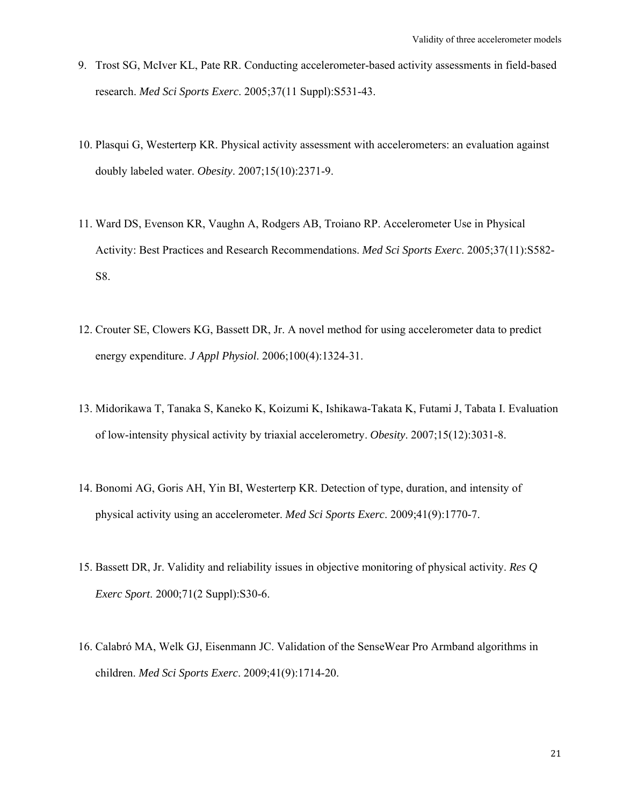- 9. Trost SG, McIver KL, Pate RR. Conducting accelerometer-based activity assessments in field-based research. *Med Sci Sports Exerc*. 2005;37(11 Suppl):S531-43.
- 10. Plasqui G, Westerterp KR. Physical activity assessment with accelerometers: an evaluation against doubly labeled water. *Obesity*. 2007;15(10):2371-9.
- 11. Ward DS, Evenson KR, Vaughn A, Rodgers AB, Troiano RP. Accelerometer Use in Physical Activity: Best Practices and Research Recommendations. *Med Sci Sports Exerc*. 2005;37(11):S582- S8.
- 12. Crouter SE, Clowers KG, Bassett DR, Jr. A novel method for using accelerometer data to predict energy expenditure. *J Appl Physiol*. 2006;100(4):1324-31.
- 13. Midorikawa T, Tanaka S, Kaneko K, Koizumi K, Ishikawa-Takata K, Futami J, Tabata I. Evaluation of low-intensity physical activity by triaxial accelerometry. *Obesity*. 2007;15(12):3031-8.
- 14. Bonomi AG, Goris AH, Yin BI, Westerterp KR. Detection of type, duration, and intensity of physical activity using an accelerometer. *Med Sci Sports Exerc*. 2009;41(9):1770-7.
- 15. Bassett DR, Jr. Validity and reliability issues in objective monitoring of physical activity. *Res Q Exerc Sport*. 2000;71(2 Suppl):S30-6.
- 16. Calabrό MA, Welk GJ, Eisenmann JC. Validation of the SenseWear Pro Armband algorithms in children. *Med Sci Sports Exerc*. 2009;41(9):1714-20.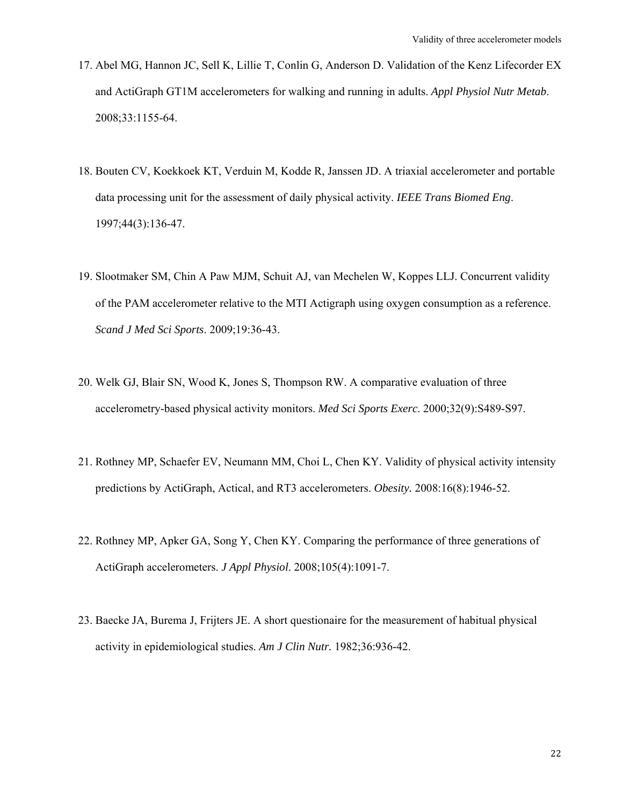- 17. Abel MG, Hannon JC, Sell K, Lillie T, Conlin G, Anderson D. Validation of the Kenz Lifecorder EX and ActiGraph GT1M accelerometers for walking and running in adults. *Appl Physiol Nutr Metab*. 2008;33:1155-64.
- 18. Bouten CV, Koekkoek KT, Verduin M, Kodde R, Janssen JD. A triaxial accelerometer and portable data processing unit for the assessment of daily physical activity. *IEEE Trans Biomed Eng*. 1997;44(3):136-47.
- 19. Slootmaker SM, Chin A Paw MJM, Schuit AJ, van Mechelen W, Koppes LLJ. Concurrent validity of the PAM accelerometer relative to the MTI Actigraph using oxygen consumption as a reference. *Scand J Med Sci Sports*. 2009;19:36-43.
- 20. Welk GJ, Blair SN, Wood K, Jones S, Thompson RW. A comparative evaluation of three accelerometry-based physical activity monitors. *Med Sci Sports Exerc*. 2000;32(9):S489-S97.
- 21. Rothney MP, Schaefer EV, Neumann MM, Choi L, Chen KY. Validity of physical activity intensity predictions by ActiGraph, Actical, and RT3 accelerometers. *Obesity.* 2008:16(8):1946-52.
- 22. Rothney MP, Apker GA, Song Y, Chen KY. Comparing the performance of three generations of ActiGraph accelerometers. *J Appl Physiol*. 2008;105(4):1091-7.
- 23. Baecke JA, Burema J, Frijters JE. A short questionaire for the measurement of habitual physical activity in epidemiological studies. *Am J Clin Nutr.* 1982;36:936-42.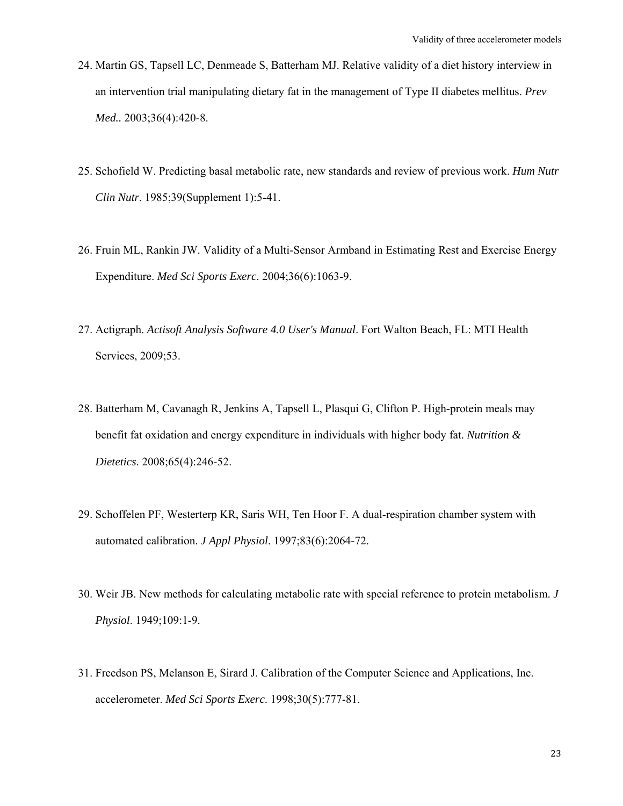- 24. Martin GS, Tapsell LC, Denmeade S, Batterham MJ. Relative validity of a diet history interview in an intervention trial manipulating dietary fat in the management of Type II diabetes mellitus. *Prev Med..* 2003;36(4):420-8.
- 25. Schofield W. Predicting basal metabolic rate, new standards and review of previous work. *Hum Nutr Clin Nutr*. 1985;39(Supplement 1):5-41.
- 26. Fruin ML, Rankin JW. Validity of a Multi-Sensor Armband in Estimating Rest and Exercise Energy Expenditure. *Med Sci Sports Exerc*. 2004;36(6):1063-9.
- 27. Actigraph. *Actisoft Analysis Software 4.0 User's Manual*. Fort Walton Beach, FL: MTI Health Services, 2009;53.
- 28. Batterham M, Cavanagh R, Jenkins A, Tapsell L, Plasqui G, Clifton P. High-protein meals may benefit fat oxidation and energy expenditure in individuals with higher body fat. *Nutrition & Dietetics*. 2008;65(4):246-52.
- 29. Schoffelen PF, Westerterp KR, Saris WH, Ten Hoor F. A dual-respiration chamber system with automated calibration. *J Appl Physiol*. 1997;83(6):2064-72.
- 30. Weir JB. New methods for calculating metabolic rate with special reference to protein metabolism. *J Physiol*. 1949;109:1-9.
- 31. Freedson PS, Melanson E, Sirard J. Calibration of the Computer Science and Applications, Inc. accelerometer. *Med Sci Sports Exerc*. 1998;30(5):777-81.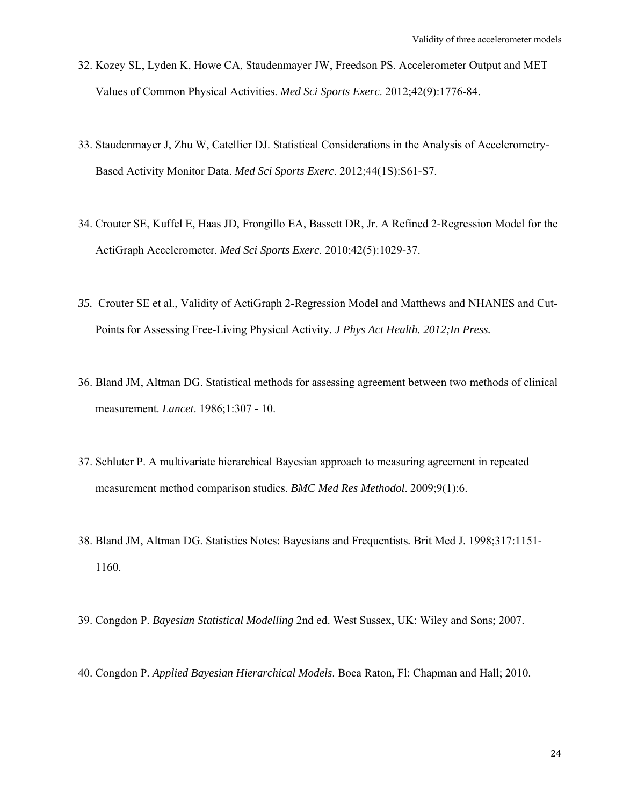- 32. Kozey SL, Lyden K, Howe CA, Staudenmayer JW, Freedson PS. Accelerometer Output and MET Values of Common Physical Activities. *Med Sci Sports Exerc*. 2012;42(9):1776-84.
- 33. Staudenmayer J, Zhu W, Catellier DJ. Statistical Considerations in the Analysis of Accelerometry-Based Activity Monitor Data. *Med Sci Sports Exerc*. 2012;44(1S):S61-S7.
- 34. Crouter SE, Kuffel E, Haas JD, Frongillo EA, Bassett DR, Jr. A Refined 2-Regression Model for the ActiGraph Accelerometer. *Med Sci Sports Exerc*. 2010;42(5):1029-37.
- *35.* Crouter SE et al., Validity of ActiGraph 2-Regression Model and Matthews and NHANES and Cut-Points for Assessing Free-Living Physical Activity. *J Phys Act Health. 2012;In Press.*
- 36. Bland JM, Altman DG. Statistical methods for assessing agreement between two methods of clinical measurement. *Lancet*. 1986;1:307 - 10.
- 37. Schluter P. A multivariate hierarchical Bayesian approach to measuring agreement in repeated measurement method comparison studies. *BMC Med Res Methodol*. 2009;9(1):6.
- 38. Bland JM, Altman DG. Statistics Notes: Bayesians and Frequentists*.* Brit Med J. 1998;317:1151- 1160.
- 39. Congdon P. *Bayesian Statistical Modelling* 2nd ed. West Sussex, UK: Wiley and Sons; 2007.
- 40. Congdon P. *Applied Bayesian Hierarchical Models*. Boca Raton, Fl: Chapman and Hall; 2010.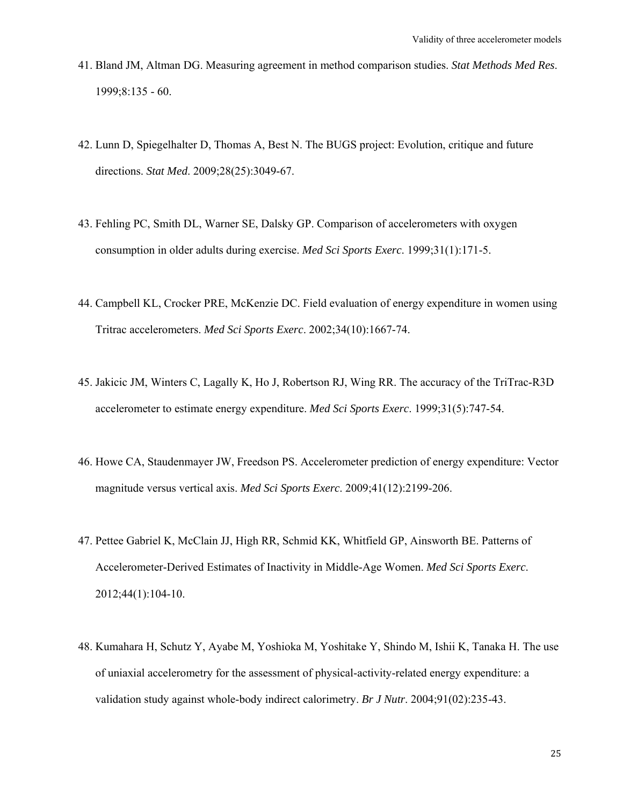- 41. Bland JM, Altman DG. Measuring agreement in method comparison studies. *Stat Methods Med Res*. 1999;8:135 - 60.
- 42. Lunn D, Spiegelhalter D, Thomas A, Best N. The BUGS project: Evolution, critique and future directions. *Stat Med*. 2009;28(25):3049-67.
- 43. Fehling PC, Smith DL, Warner SE, Dalsky GP. Comparison of accelerometers with oxygen consumption in older adults during exercise. *Med Sci Sports Exerc*. 1999;31(1):171-5.
- 44. Campbell KL, Crocker PRE, McKenzie DC. Field evaluation of energy expenditure in women using Tritrac accelerometers. *Med Sci Sports Exerc*. 2002;34(10):1667-74.
- 45. Jakicic JM, Winters C, Lagally K, Ho J, Robertson RJ, Wing RR. The accuracy of the TriTrac-R3D accelerometer to estimate energy expenditure. *Med Sci Sports Exerc*. 1999;31(5):747-54.
- 46. Howe CA, Staudenmayer JW, Freedson PS. Accelerometer prediction of energy expenditure: Vector magnitude versus vertical axis. *Med Sci Sports Exerc*. 2009;41(12):2199-206.
- 47. Pettee Gabriel K, McClain JJ, High RR, Schmid KK, Whitfield GP, Ainsworth BE. Patterns of Accelerometer-Derived Estimates of Inactivity in Middle-Age Women. *Med Sci Sports Exerc*. 2012;44(1):104-10.
- 48. Kumahara H, Schutz Y, Ayabe M, Yoshioka M, Yoshitake Y, Shindo M, Ishii K, Tanaka H. The use of uniaxial accelerometry for the assessment of physical-activity-related energy expenditure: a validation study against whole-body indirect calorimetry. *Br J Nutr*. 2004;91(02):235-43.